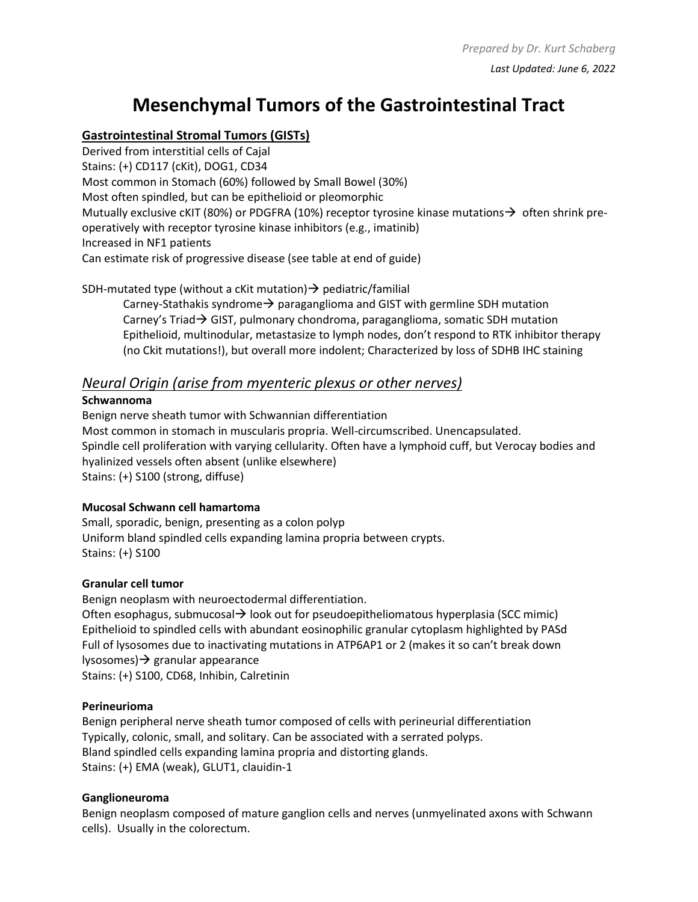## **Mesenchymal Tumors of the Gastrointestinal Tract**

## **Gastrointestinal Stromal Tumors (GISTs)**

Derived from interstitial cells of Cajal Stains: (+) CD117 (cKit), DOG1, CD34 Most common in Stomach (60%) followed by Small Bowel (30%) Most often spindled, but can be epithelioid or pleomorphic Mutually exclusive cKIT (80%) or PDGFRA (10%) receptor tyrosine kinase mutations $\rightarrow$  often shrink preoperatively with receptor tyrosine kinase inhibitors (e.g., imatinib) Increased in NF1 patients Can estimate risk of progressive disease (see table at end of guide)

SDH-mutated type (without a cKit mutation)  $\rightarrow$  pediatric/familial

Carney-Stathakis syndrome $\rightarrow$  paraganglioma and GIST with germline SDH mutation Carney's Triad→ GIST, pulmonary chondroma, paraganglioma, somatic SDH mutation Epithelioid, multinodular, metastasize to lymph nodes, don't respond to RTK inhibitor therapy (no Ckit mutations!), but overall more indolent; Characterized by loss of SDHB IHC staining

## *Neural Origin (arise from myenteric plexus or other nerves)*

#### **Schwannoma**

Benign nerve sheath tumor with Schwannian differentiation Most common in stomach in muscularis propria. Well-circumscribed. Unencapsulated. Spindle cell proliferation with varying cellularity. Often have a lymphoid cuff, but Verocay bodies and hyalinized vessels often absent (unlike elsewhere) Stains: (+) S100 (strong, diffuse)

#### **Mucosal Schwann cell hamartoma**

Small, sporadic, benign, presenting as a colon polyp Uniform bland spindled cells expanding lamina propria between crypts. Stains: (+) S100

#### **Granular cell tumor**

Benign neoplasm with neuroectodermal differentiation. Often esophagus, submucosal→ look out for pseudoepitheliomatous hyperplasia (SCC mimic) Epithelioid to spindled cells with abundant eosinophilic granular cytoplasm highlighted by PASd Full of lysosomes due to inactivating mutations in ATP6AP1 or 2 (makes it so can't break down lysosomes)→ granular appearance Stains: (+) S100, CD68, Inhibin, Calretinin

#### **Perineurioma**

Benign peripheral nerve sheath tumor composed of cells with perineurial differentiation Typically, colonic, small, and solitary. Can be associated with a serrated polyps. Bland spindled cells expanding lamina propria and distorting glands. Stains: (+) EMA (weak), GLUT1, clauidin-1

#### **Ganglioneuroma**

Benign neoplasm composed of mature ganglion cells and nerves (unmyelinated axons with Schwann cells). Usually in the colorectum.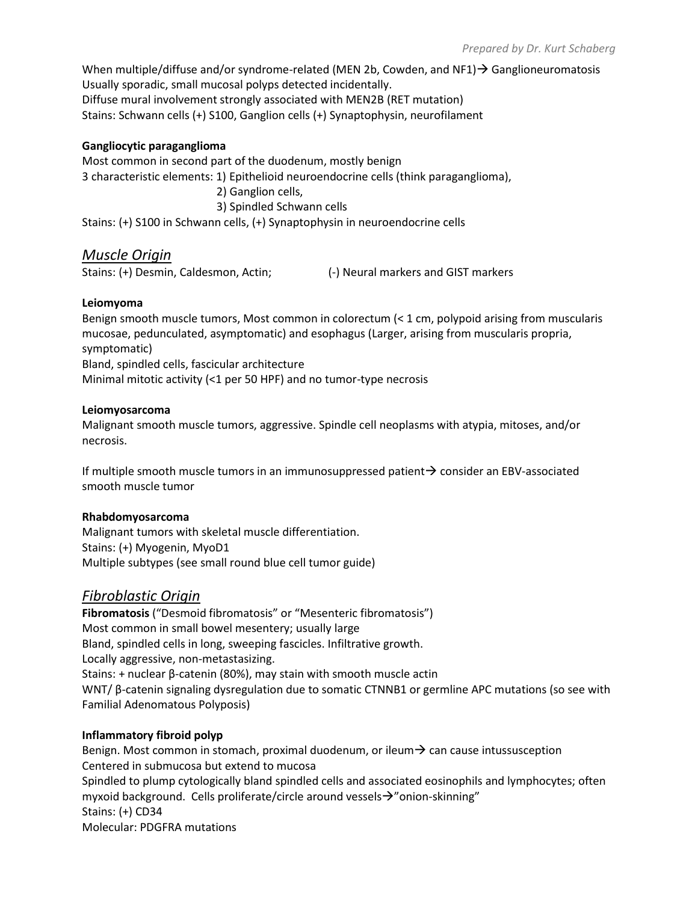When multiple/diffuse and/or syndrome-related (MEN 2b, Cowden, and NF1) → Ganglioneuromatosis Usually sporadic, small mucosal polyps detected incidentally. Diffuse mural involvement strongly associated with MEN2B (RET mutation) Stains: Schwann cells (+) S100, Ganglion cells (+) Synaptophysin, neurofilament

#### **Gangliocytic paraganglioma**

Most common in second part of the duodenum, mostly benign 3 characteristic elements: 1) Epithelioid neuroendocrine cells (think paraganglioma), 2) Ganglion cells, 3) Spindled Schwann cells Stains: (+) S100 in Schwann cells, (+) Synaptophysin in neuroendocrine cells

### *Muscle Origin*

Stains: (+) Desmin, Caldesmon, Actin; (-) Neural markers and GIST markers

#### **Leiomyoma**

Benign smooth muscle tumors, Most common in colorectum (< 1 cm, polypoid arising from muscularis mucosae, pedunculated, asymptomatic) and esophagus (Larger, arising from muscularis propria, symptomatic) Bland, spindled cells, fascicular architecture Minimal mitotic activity (<1 per 50 HPF) and no tumor-type necrosis

#### **Leiomyosarcoma**

Malignant smooth muscle tumors, aggressive. Spindle cell neoplasms with atypia, mitoses, and/or necrosis.

If multiple smooth muscle tumors in an immunosuppressed patient→ consider an EBV-associated smooth muscle tumor

#### **Rhabdomyosarcoma**

Malignant tumors with skeletal muscle differentiation. Stains: (+) Myogenin, MyoD1 Multiple subtypes (see small round blue cell tumor guide)

## *Fibroblastic Origin*

**Fibromatosis** ("Desmoid fibromatosis" or "Mesenteric fibromatosis") Most common in small bowel mesentery; usually large Bland, spindled cells in long, sweeping fascicles. Infiltrative growth. Locally aggressive, non-metastasizing. Stains: + nuclear  $β$ -catenin (80%), may stain with smooth muscle actin WNT/ β-catenin signaling dysregulation due to somatic CTNNB1 or germline APC mutations (so see with Familial Adenomatous Polyposis)

#### **Inflammatory fibroid polyp**

Benign. Most common in stomach, proximal duodenum, or ileum $\rightarrow$  can cause intussusception Centered in submucosa but extend to mucosa Spindled to plump cytologically bland spindled cells and associated eosinophils and lymphocytes; often myxoid background. Cells proliferate/circle around vessels→"onion-skinning" Stains: (+) CD34 Molecular: PDGFRA mutations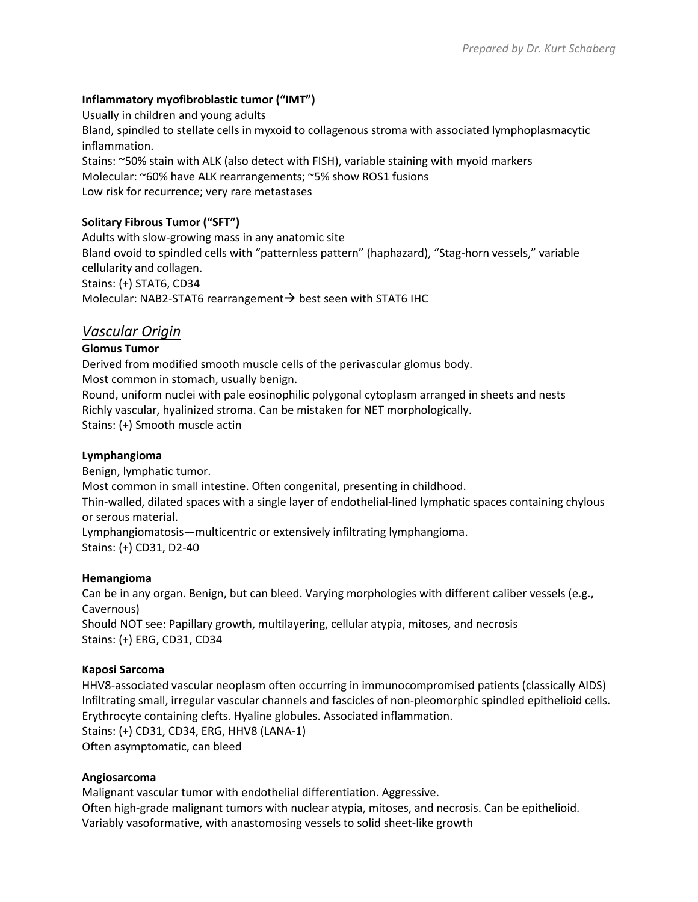#### **Inflammatory myofibroblastic tumor ("IMT")**

Usually in children and young adults Bland, spindled to stellate cells in myxoid to collagenous stroma with associated lymphoplasmacytic inflammation. Stains: ~50% stain with ALK (also detect with FISH), variable staining with myoid markers Molecular: ~60% have ALK rearrangements; ~5% show ROS1 fusions Low risk for recurrence; very rare metastases

## **Solitary Fibrous Tumor ("SFT")**

Adults with slow-growing mass in any anatomic site Bland ovoid to spindled cells with "patternless pattern" (haphazard), "Stag-horn vessels," variable cellularity and collagen. Stains: (+) STAT6, CD34 Molecular: NAB2-STAT6 rearrangement → best seen with STAT6 IHC

## *Vascular Origin*

#### **Glomus Tumor**

Derived from modified smooth muscle cells of the perivascular glomus body. Most common in stomach, usually benign. Round, uniform nuclei with pale eosinophilic polygonal cytoplasm arranged in sheets and nests Richly vascular, hyalinized stroma. Can be mistaken for NET morphologically. Stains: (+) Smooth muscle actin

#### **Lymphangioma**

Benign, lymphatic tumor. Most common in small intestine. Often congenital, presenting in childhood. Thin-walled, dilated spaces with a single layer of endothelial-lined lymphatic spaces containing chylous or serous material. Lymphangiomatosis—multicentric or extensively infiltrating lymphangioma. Stains: (+) CD31, D2-40

#### **Hemangioma**

Can be in any organ. Benign, but can bleed. Varying morphologies with different caliber vessels (e.g., Cavernous) Should NOT see: Papillary growth, multilayering, cellular atypia, mitoses, and necrosis Stains: (+) ERG, CD31, CD34

#### **Kaposi Sarcoma**

HHV8-associated vascular neoplasm often occurring in immunocompromised patients (classically AIDS) Infiltrating small, irregular vascular channels and fascicles of non-pleomorphic spindled epithelioid cells. Erythrocyte containing clefts. Hyaline globules. Associated inflammation. Stains: (+) CD31, CD34, ERG, HHV8 (LANA-1) Often asymptomatic, can bleed

#### **Angiosarcoma**

Malignant vascular tumor with endothelial differentiation. Aggressive. Often high-grade malignant tumors with nuclear atypia, mitoses, and necrosis. Can be epithelioid. Variably vasoformative, with anastomosing vessels to solid sheet-like growth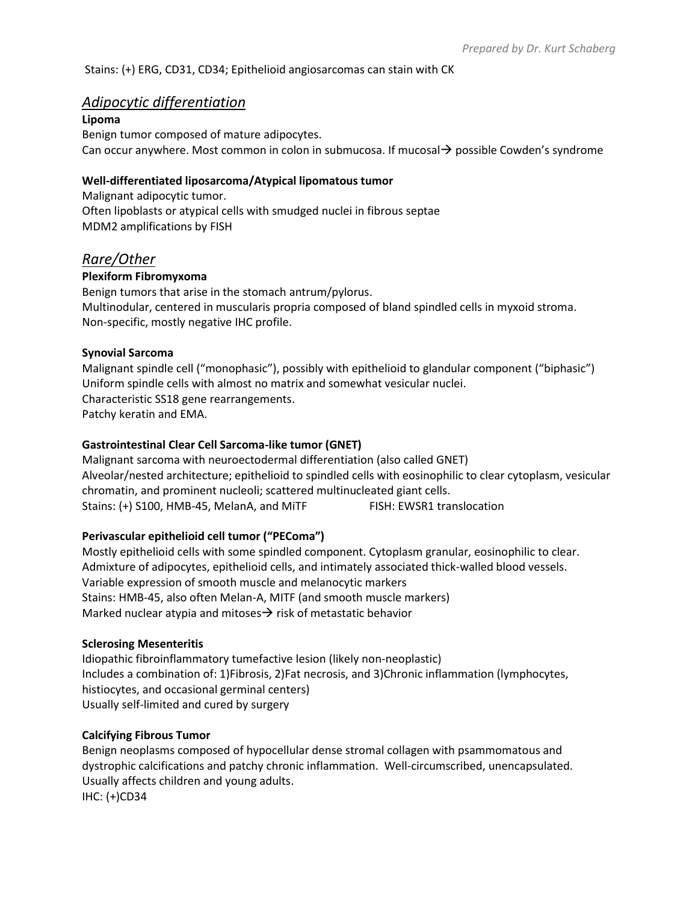#### Stains: (+) ERG, CD31, CD34; Epithelioid angiosarcomas can stain with CK

#### *Adipocytic differentiation*

**Lipoma**

Benign tumor composed of mature adipocytes. Can occur anywhere. Most common in colon in submucosa. If mucosal→ possible Cowden's syndrome

#### **Well-differentiated liposarcoma/Atypical lipomatous tumor**

Malignant adipocytic tumor. Often lipoblasts or atypical cells with smudged nuclei in fibrous septae MDM2 amplifications by FISH

## *Rare/Other*

#### **Plexiform Fibromyxoma**

Benign tumors that arise in the stomach antrum/pylorus. Multinodular, centered in muscularis propria composed of bland spindled cells in myxoid stroma. Non-specific, mostly negative IHC profile.

#### **Synovial Sarcoma**

Malignant spindle cell ("monophasic"), possibly with epithelioid to glandular component ("biphasic") Uniform spindle cells with almost no matrix and somewhat vesicular nuclei. Characteristic SS18 gene rearrangements. Patchy keratin and EMA.

#### **Gastrointestinal Clear Cell Sarcoma-like tumor (GNET)**

Malignant sarcoma with neuroectodermal differentiation (also called GNET) Alveolar/nested architecture; epithelioid to spindled cells with eosinophilic to clear cytoplasm, vesicular chromatin, and prominent nucleoli; scattered multinucleated giant cells. Stains: (+) S100, HMB-45, MelanA, and MiTF FISH: EWSR1 translocation

#### **Perivascular epithelioid cell tumor ("PEComa")**

Mostly epithelioid cells with some spindled component. Cytoplasm granular, eosinophilic to clear. Admixture of adipocytes, epithelioid cells, and intimately associated thick-walled blood vessels. Variable expression of smooth muscle and melanocytic markers Stains: HMB-45, also often Melan-A, MITF (and smooth muscle markers) Marked nuclear atypia and mitoses $\rightarrow$  risk of metastatic behavior

#### **Sclerosing Mesenteritis**

Idiopathic fibroinflammatory tumefactive lesion (likely non-neoplastic) Includes a combination of: 1)Fibrosis, 2)Fat necrosis, and 3)Chronic inflammation (lymphocytes, histiocytes, and occasional germinal centers) Usually self-limited and cured by surgery

#### **Calcifying Fibrous Tumor**

Benign neoplasms composed of hypocellular dense stromal collagen with psammomatous and dystrophic calcifications and patchy chronic inflammation. Well-circumscribed, unencapsulated. Usually affects children and young adults. IHC: (+)CD34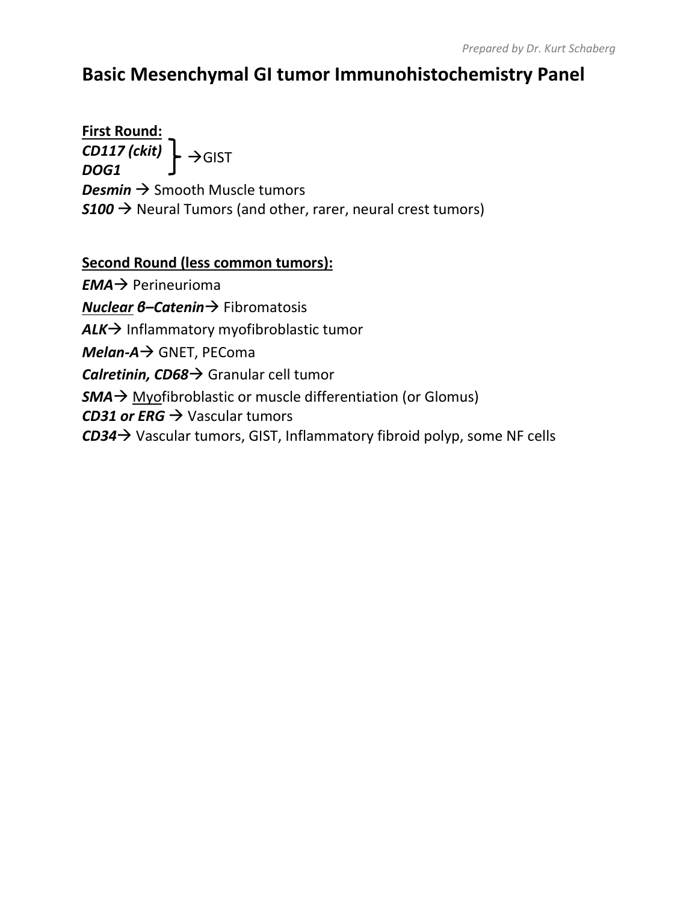## **Basic Mesenchymal GI tumor Immunohistochemistry Panel**

**First Round:** *CD117 (ckit) DOG1* **Desmin → Smooth Muscle tumors**  $$100 \rightarrow$  Neural Tumors (and other, rarer, neural crest tumors) →GIST

## **Second Round (less common tumors):**

*EMA*→ Perineurioma *Nuclear β–Catenin→* Fibromatosis *ALK*→ Inflammatory myofibroblastic tumor *Melan-A*→ GNET, PEComa *Calretinin, CD68*→ Granular cell tumor *SMA*→ Myofibroblastic or muscle differentiation (or Glomus) *CD31 or ERG*  $\rightarrow$  Vascular tumors *CD34*→ Vascular tumors, GIST, Inflammatory fibroid polyp, some NF cells